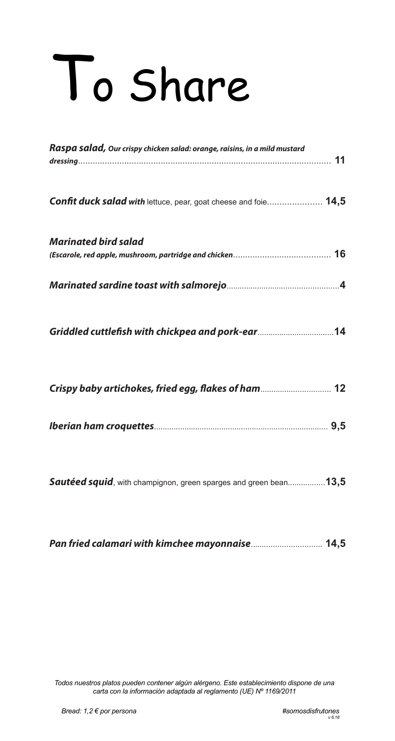## To Share

| Raspa salad, Our crispy chicken salad: orange, raisins, in a mild mustard |
|---------------------------------------------------------------------------|
| Confit duck salad with lettuce, pear, goat cheese and foie 14,5           |
| <b>Marinated bird salad</b>                                               |
|                                                                           |
| Griddled cuttlefish with chickpea and pork-ear  14                        |
| Crispy baby artichokes, fried egg, flakes of ham 12                       |
|                                                                           |
| <b>Sautéed squid</b> , with champignon, green sparges and green bean13,5  |

| Pan fried calamari with kimchee mayonnaise 14,5 |  |
|-------------------------------------------------|--|
|-------------------------------------------------|--|

*Todos nuestros platos pueden contener algún alérgeno. Este establecimiento dispone de una carta con la información adaptada al reglamento (UE) Nº 1169/2011*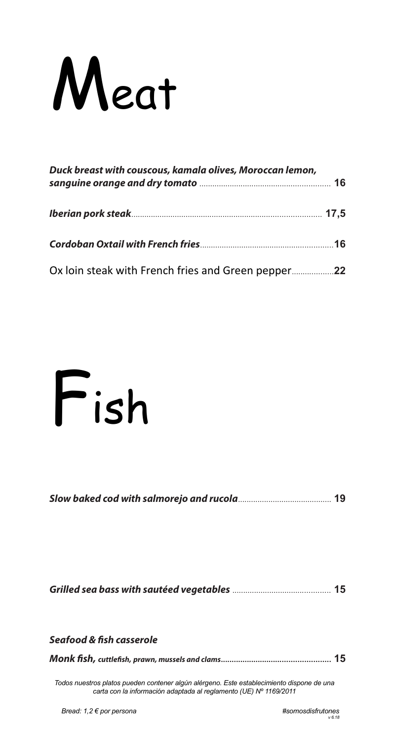

| Duck breast with couscous, kamala olives, Moroccan lemon, |  |
|-----------------------------------------------------------|--|
|                                                           |  |
|                                                           |  |
|                                                           |  |



|--|--|

| Seafood & fish casserole |  |
|--------------------------|--|
|                          |  |

*Todos nuestros platos pueden contener algún alérgeno. Este establecimiento dispone de una carta con la información adaptada al reglamento (UE) Nº 1169/2011*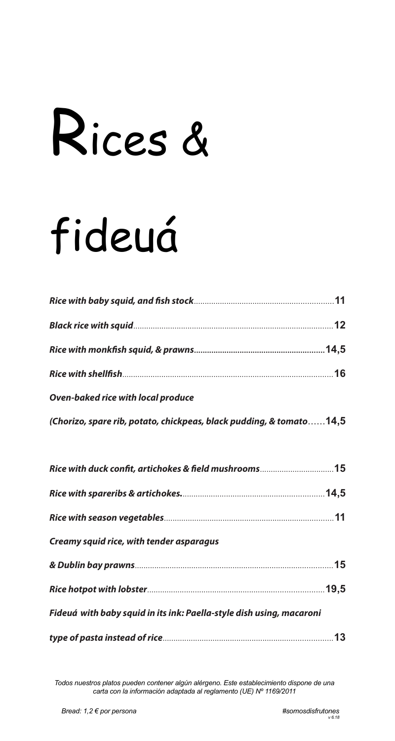## Rices &

## fideuá

| <b>Oven-baked rice with local produce</b>                            |
|----------------------------------------------------------------------|
| (Chorizo, spare rib, potato, chickpeas, black pudding, & tomato14,5  |
|                                                                      |
| Rice with duck confit, artichokes & field mushrooms15                |
|                                                                      |
|                                                                      |
| Creamy squid rice, with tender asparagus                             |
|                                                                      |
|                                                                      |
| Fideuá with baby squid in its ink: Paella-style dish using, macaroni |
|                                                                      |

*Todos nuestros platos pueden contener algún alérgeno. Este establecimiento dispone de una carta con la información adaptada al reglamento (UE) Nº 1169/2011*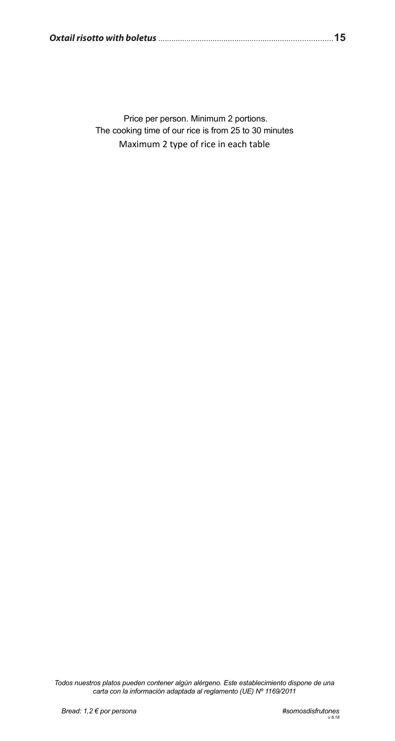Price per person. Minimum 2 portions. The cooking time of our rice is from 25 to 30 minutes Maximum 2 type of rice in each table

Todos nuestros platos pueden contener algún alérgeno. Este establecimiento dispone de una<br>carta con la información adaptada al reglamento (UE) Nº 1169/2011